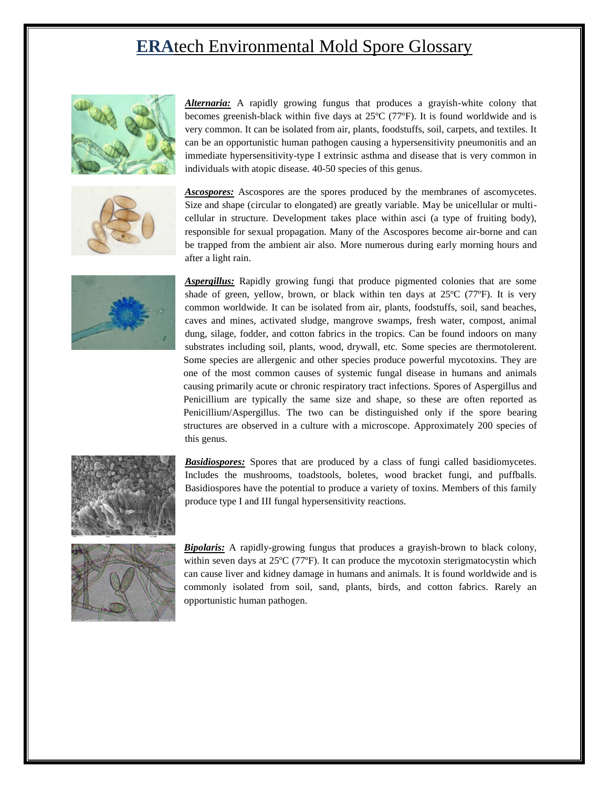## **ERA**tech Environmental Mold Spore Glossary





*Alternaria:* A rapidly growing fungus that produces a grayish-white colony that becomes greenish-black within five days at 25ºC (77ºF). It is found worldwide and is very common. It can be isolated from air, plants, foodstuffs, soil, carpets, and textiles. It can be an opportunistic human pathogen causing a hypersensitivity pneumonitis and an immediate hypersensitivity-type I extrinsic asthma and disease that is very common in individuals with atopic disease. 40-50 species of this genus.

**Ascospores:** Ascospores are the spores produced by the membranes of ascomycetes. Size and shape (circular to elongated) are greatly variable. May be unicellular or multicellular in structure. Development takes place within asci (a type of fruiting body), responsible for sexual propagation. Many of the Ascospores become air-borne and can be trapped from the ambient air also. More numerous during early morning hours and after a light rain.



*Aspergillus:* Rapidly growing fungi that produce pigmented colonies that are some shade of green, yellow, brown, or black within ten days at  $25^{\circ}C$  (77 $^{\circ}F$ ). It is very common worldwide. It can be isolated from air, plants, foodstuffs, soil, sand beaches, caves and mines, activated sludge, mangrove swamps, fresh water, compost, animal dung, silage, fodder, and cotton fabrics in the tropics. Can be found indoors on many substrates including soil, plants, wood, drywall, etc. Some species are thermotolerent. Some species are allergenic and other species produce powerful mycotoxins. They are one of the most common causes of systemic fungal disease in humans and animals causing primarily acute or chronic respiratory tract infections. Spores of Aspergillus and Penicillium are typically the same size and shape, so these are often reported as Penicillium/Aspergillus. The two can be distinguished only if the spore bearing structures are observed in a culture with a microscope. Approximately 200 species of this genus.



*Basidiospores:* Spores that are produced by a class of fungi called basidiomycetes. Includes the mushrooms, toadstools, boletes, wood bracket fungi, and puffballs. Basidiospores have the potential to produce a variety of toxins. Members of this family produce type I and III fungal hypersensitivity reactions.



*Bipolaris:* A rapidly-growing fungus that produces a grayish-brown to black colony, within seven days at 25<sup>o</sup>C (77<sup>o</sup>F). It can produce the mycotoxin sterigmatocystin which can cause liver and kidney damage in humans and animals. It is found worldwide and is commonly isolated from soil, sand, plants, birds, and cotton fabrics. Rarely an opportunistic human pathogen.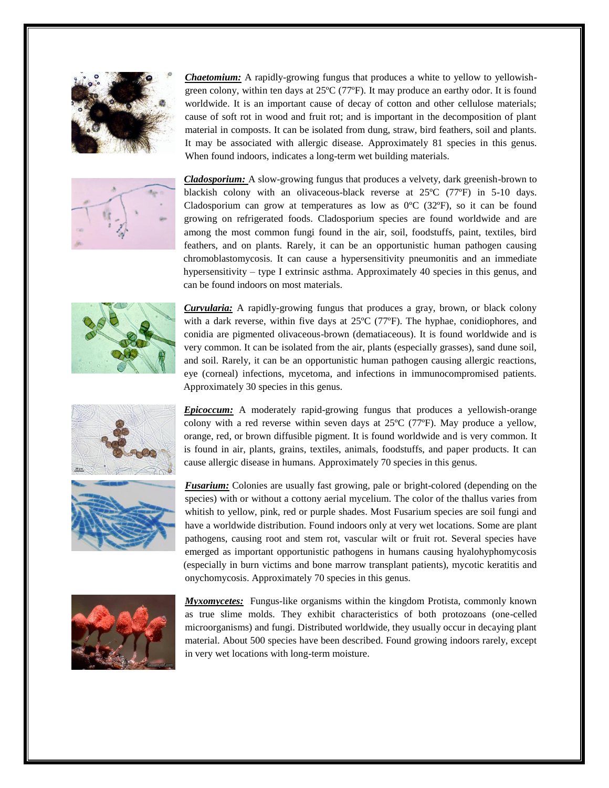



*Chaetomium:* A rapidly-growing fungus that produces a white to yellow to yellowishgreen colony, within ten days at 25ºC (77ºF). It may produce an earthy odor. It is found worldwide. It is an important cause of decay of cotton and other cellulose materials; cause of soft rot in wood and fruit rot; and is important in the decomposition of plant material in composts. It can be isolated from dung, straw, bird feathers, soil and plants. It may be associated with allergic disease. Approximately 81 species in this genus. When found indoors, indicates a long-term wet building materials.

*Cladosporium:* A slow-growing fungus that produces a velvety, dark greenish-brown to blackish colony with an olivaceous-black reverse at 25ºC (77ºF) in 5-10 days. Cladosporium can grow at temperatures as low as  $0^{\circ}C$  (32 $^{\circ}F$ ), so it can be found growing on refrigerated foods. Cladosporium species are found worldwide and are among the most common fungi found in the air, soil, foodstuffs, paint, textiles, bird feathers, and on plants. Rarely, it can be an opportunistic human pathogen causing chromoblastomycosis. It can cause a hypersensitivity pneumonitis and an immediate hypersensitivity – type I extrinsic asthma. Approximately 40 species in this genus, and can be found indoors on most materials.



*Curvularia:* A rapidly-growing fungus that produces a gray, brown, or black colony with a dark reverse, within five days at  $25^{\circ}C$  (77 $^{\circ}F$ ). The hyphae, conidiophores, and conidia are pigmented olivaceous-brown (dematiaceous). It is found worldwide and is very common. It can be isolated from the air, plants (especially grasses), sand dune soil, and soil. Rarely, it can be an opportunistic human pathogen causing allergic reactions, eye (corneal) infections, mycetoma, and infections in immunocompromised patients. Approximately 30 species in this genus.





*Epicoccum:* A moderately rapid-growing fungus that produces a yellowish-orange colony with a red reverse within seven days at 25ºC (77ºF). May produce a yellow, orange, red, or brown diffusible pigment. It is found worldwide and is very common. It is found in air, plants, grains, textiles, animals, foodstuffs, and paper products. It can cause allergic disease in humans. Approximately 70 species in this genus.

*Fusarium:* Colonies are usually fast growing, pale or bright-colored (depending on the species) with or without a cottony aerial mycelium. The color of the thallus varies from whitish to yellow, pink, red or purple shades. Most Fusarium species are soil fungi and have a worldwide distribution. Found indoors only at very wet locations. Some are plant pathogens, causing root and stem rot, vascular wilt or fruit rot. Several species have emerged as important opportunistic pathogens in humans causing hyalohyphomycosis (especially in burn victims and bone marrow transplant patients), mycotic keratitis and onychomycosis. Approximately 70 species in this genus.



*Myxomycetes:* Fungus-like organisms within the kingdom Protista, commonly known as true slime molds. They exhibit characteristics of both protozoans (one-celled microorganisms) and fungi. Distributed worldwide, they usually occur in decaying plant material. About 500 species have been described. Found growing indoors rarely, except in very wet locations with long-term moisture.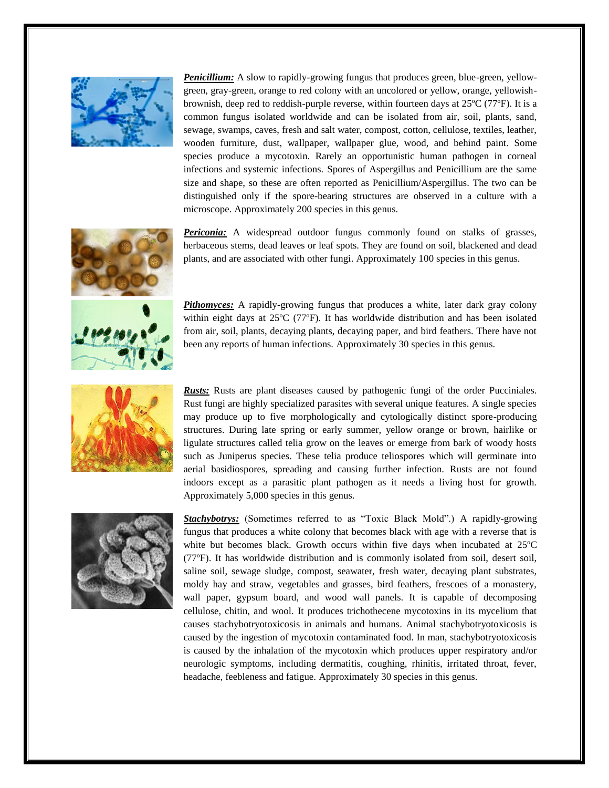

*Penicillium:* A slow to rapidly-growing fungus that produces green, blue-green, yellowgreen, gray-green, orange to red colony with an uncolored or yellow, orange, yellowishbrownish, deep red to reddish-purple reverse, within fourteen days at 25ºC (77ºF). It is a common fungus isolated worldwide and can be isolated from air, soil, plants, sand, sewage, swamps, caves, fresh and salt water, compost, cotton, cellulose, textiles, leather, wooden furniture, dust, wallpaper, wallpaper glue, wood, and behind paint. Some species produce a mycotoxin. Rarely an opportunistic human pathogen in corneal infections and systemic infections. Spores of Aspergillus and Penicillium are the same size and shape, so these are often reported as Penicillium/Aspergillus. The two can be distinguished only if the spore-bearing structures are observed in a culture with a microscope. Approximately 200 species in this genus.

*Periconia:* A widespread outdoor fungus commonly found on stalks of grasses, herbaceous stems, dead leaves or leaf spots. They are found on soil, blackened and dead plants, and are associated with other fungi. Approximately 100 species in this genus.



*Pithomyces:* A rapidly-growing fungus that produces a white, later dark gray colony within eight days at 25ºC (77ºF). It has worldwide distribution and has been isolated from air, soil, plants, decaying plants, decaying paper, and bird feathers. There have not been any reports of human infections. Approximately 30 species in this genus.



*Rusts:* Rusts are plant diseases caused by pathogenic fungi of the order Pucciniales. Rust fungi are highly specialized parasites with several unique features. A single species may produce up to five morphologically and cytologically distinct spore-producing structures. During late spring or early summer, yellow orange or brown, hairlike or ligulate structures called telia grow on the leaves or emerge from bark of woody hosts such as Juniperus species. These telia produce teliospores which will germinate into aerial basidiospores, spreading and causing further infection. Rusts are not found indoors except as a parasitic plant pathogen as it needs a living host for growth. Approximately 5,000 species in this genus.



**Stachybotrys:** (Sometimes referred to as "Toxic Black Mold".) A rapidly-growing fungus that produces a white colony that becomes black with age with a reverse that is white but becomes black. Growth occurs within five days when incubated at 25ºC (77ºF). It has worldwide distribution and is commonly isolated from soil, desert soil, saline soil, sewage sludge, compost, seawater, fresh water, decaying plant substrates, moldy hay and straw, vegetables and grasses, bird feathers, frescoes of a monastery, wall paper, gypsum board, and wood wall panels. It is capable of decomposing cellulose, chitin, and wool. It produces trichothecene mycotoxins in its mycelium that causes stachybotryotoxicosis in animals and humans. Animal stachybotryotoxicosis is caused by the ingestion of mycotoxin contaminated food. In man, stachybotryotoxicosis is caused by the inhalation of the mycotoxin which produces upper respiratory and/or neurologic symptoms, including dermatitis, coughing, rhinitis, irritated throat, fever, headache, feebleness and fatigue. Approximately 30 species in this genus.